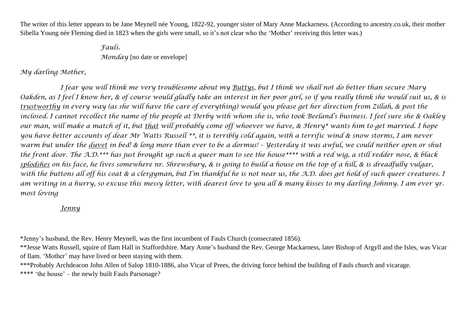The writer of this letter appears to be Jane Meynell née Young, 1822-92, younger sister of Mary Anne Mackarness. (According to ancestry.co.uk, their mother Sibella Young née Fleming died in 1823 when the girls were small, so it's not clear who the 'Mother' receiving this letter was.)

> *Fauls. Monday* [no date or envelope]

*My darling Mother,*

*I fear you will think me very troublesome about my Buttys, but I think we shall not do better than secure Mary Oakden, as I feel I know her, & of course would gladly take an interest in her poor girl, so if you really think she would suit us, & is trustworthy in every way (as she will have the care of everything) would you please get her direction from Zillah, & post the inclosed. I cannot recollect the name of the people at Derby with whom she is, who took Beeland's business. I feel sure she & Oakley our man, will make a match of it, but that will probably come off whoever we have, & Henry\* wants him to get married. I hope you have better accounts of dear Mr Watts Russell \*\*, it is terribly cold again, with a terrific wind & snow storms, I am never warm but under the <u>duvet</u> in bed! & long more than ever to be a dormus! – Yesterday it was awful, we could neither open or shut the front door. The A.D.\*\*\* has just brought up such a queer man to see the house\*\*\*\* with a red wig, a still redder nose, & black splodshes on his face, he lives somewhere nr. Shrewsbury, & is going to build a house on the top of a hill, & is dreadfully vulgar, with the buttons all off his coat & a clergyman, but I'm thankful he is not near us, the A.D. does get hold of such queer creatures. I am writing in a hurry, so excuse this messy letter, with dearest love to you all & many kisses to my darling Johnny. I am ever yr. most loving*

## *Jenny*

\*Jenny's husband, the Rev. Henry Meynell, was the first incumbent of Fauls Church (consecrated 1856).

\*\*Jesse Watts Russell, squire of Ilam Hall in Staffordshire. Mary Anne's husband the Rev. George Mackarness, later Bishop of Argyll and the Isles, was Vicar of Ilam. 'Mother' may have lived or been staying with them.

\*\*\*Probably Archdeacon John Allen of Salop 1810-1886, also Vicar of Prees, the driving force behind the building of Fauls church and vicarage.

\*\*\*\* 'the house' – the newly built Fauls Parsonage?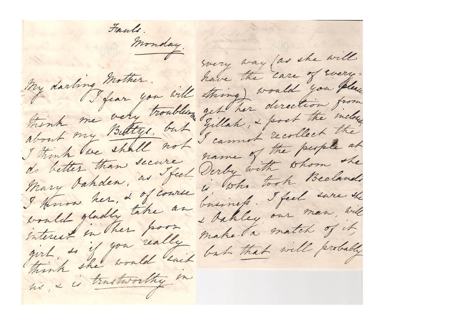Fauls. Monday. svery way (as she will My darling mother. have the care of svery-I fear you will string) would you please think me very troubles, get her direction from about my Bettys, but Gillah, & post the inclose I think we shall not I cannot recollect the do better than secure name of the people at I Hnow her, 2 of course is, who took Beclaudi would gladly take an business. I feel sare the interest in these poor I dakley our man, will girl, so if you really make ta match of it, think she would said but that will probably no & is trustworthy in